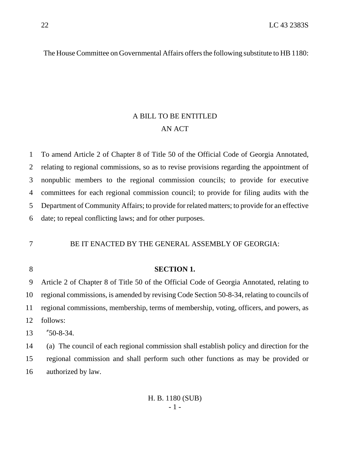The House Committee on Governmental Affairs offers the following substitute to HB 1180:

# A BILL TO BE ENTITLED AN ACT

 To amend Article 2 of Chapter 8 of Title 50 of the Official Code of Georgia Annotated, relating to regional commissions, so as to revise provisions regarding the appointment of nonpublic members to the regional commission councils; to provide for executive committees for each regional commission council; to provide for filing audits with the Department of Community Affairs; to provide for related matters; to provide for an effective date; to repeal conflicting laws; and for other purposes.

### BE IT ENACTED BY THE GENERAL ASSEMBLY OF GEORGIA:

#### **SECTION 1.**

 Article 2 of Chapter 8 of Title 50 of the Official Code of Georgia Annotated, relating to regional commissions, is amended by revising Code Section 50-8-34, relating to councils of regional commissions, membership, terms of membership, voting, officers, and powers, as follows:

"50-8-34.

 (a) The council of each regional commission shall establish policy and direction for the regional commission and shall perform such other functions as may be provided or authorized by law.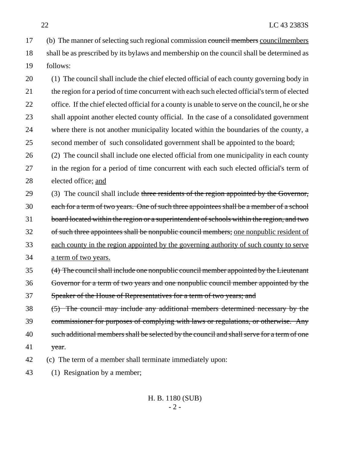17 (b) The manner of selecting such regional commission council members councilmembers shall be as prescribed by its bylaws and membership on the council shall be determined as follows:

 (1) The council shall include the chief elected official of each county governing body in the region for a period of time concurrent with each such elected official's term of elected 22 office. If the chief elected official for a county is unable to serve on the council, he or she shall appoint another elected county official. In the case of a consolidated government where there is not another municipality located within the boundaries of the county, a second member of such consolidated government shall be appointed to the board;

 (2) The council shall include one elected official from one municipality in each county in the region for a period of time concurrent with each such elected official's term of elected office; and

29 (3) The council shall include three residents of the region appointed by the Governor, each for a term of two years. One of such three appointees shall be a member of a school board located within the region or a superintendent of schools within the region, and two 32 of such three appointees shall be nonpublic council members; one nonpublic resident of each county in the region appointed by the governing authority of such county to serve a term of two years.

 (4) The council shall include one nonpublic council member appointed by the Lieutenant Governor for a term of two years and one nonpublic council member appointed by the Speaker of the House of Representatives for a term of two years; and

 (5) The council may include any additional members determined necessary by the commissioner for purposes of complying with laws or regulations, or otherwise. Any 40 such additional members shall be selected by the council and shall serve for a term of one year.

- (c) The term of a member shall terminate immediately upon:
- (1) Resignation by a member;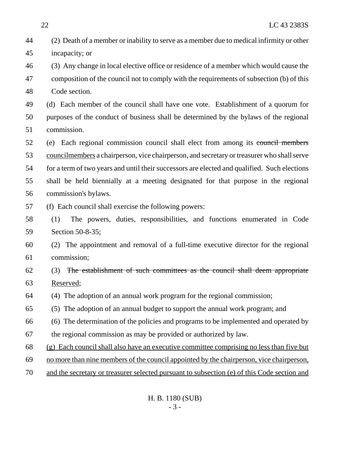| 44 | (2) Death of a member or inability to serve as a member due to medical infirmity or other    |
|----|----------------------------------------------------------------------------------------------|
| 45 | incapacity; or                                                                               |
| 46 | (3) Any change in local elective office or residence of a member which would cause the       |
| 47 | composition of the council not to comply with the requirements of subsection (b) of this     |
| 48 | Code section.                                                                                |
| 49 | (d) Each member of the council shall have one vote. Establishment of a quorum for            |
| 50 | purposes of the conduct of business shall be determined by the bylaws of the regional        |
| 51 | commission.                                                                                  |
| 52 | (e) Each regional commission council shall elect from among its council members              |
| 53 | councilmembers a chairperson, vice chairperson, and secretary or treasurer who shall serve   |
| 54 | for a term of two years and until their successors are elected and qualified. Such elections |
| 55 | shall be held biennially at a meeting designated for that purpose in the regional            |
| 56 | commission's bylaws.                                                                         |
| 57 | (f) Each council shall exercise the following powers:                                        |
| 58 | The powers, duties, responsibilities, and functions enumerated in Code<br>(1)                |
| 59 | Section 50-8-35;                                                                             |
| 60 | The appointment and removal of a full-time executive director for the regional<br>(2)        |
| 61 | commission;                                                                                  |
| 62 | The establishment of such committees as the council shall deem appropriate<br>(3)            |
| 63 | Reserved;                                                                                    |
| 64 | (4) The adoption of an annual work program for the regional commission;                      |
| 65 | The adoption of an annual budget to support the annual work program; and<br>(5)              |
| 66 | (6) The determination of the policies and programs to be implemented and operated by         |
| 67 | the regional commission as may be provided or authorized by law.                             |
| 68 | (g) Each council shall also have an executive committee comprising no less than five but     |
| 69 | no more than nine members of the council appointed by the chairperson, vice chairperson,     |
| 70 | and the secretary or treasurer selected pursuant to subsection (e) of this Code section and  |
|    |                                                                                              |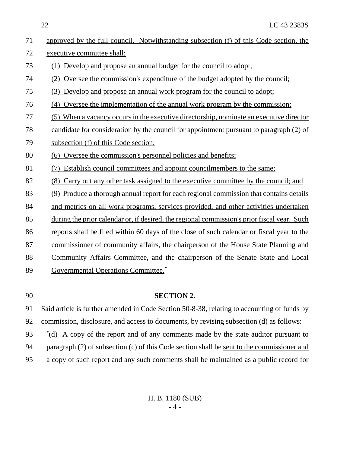22 LC 43 2383S

| 71 | approved by the full council. Notwithstanding subsection (f) of this Code section, the      |
|----|---------------------------------------------------------------------------------------------|
| 72 | executive committee shall:                                                                  |
| 73 | (1) Develop and propose an annual budget for the council to adopt;                          |
| 74 | (2) Oversee the commission's expenditure of the budget adopted by the council;              |
| 75 | (3) Develop and propose an annual work program for the council to adopt;                    |
| 76 | (4) Oversee the implementation of the annual work program by the commission;                |
| 77 | (5) When a vacancy occurs in the executive directorship, nominate an executive director     |
| 78 | candidate for consideration by the council for appointment pursuant to paragraph (2) of     |
| 79 | subsection (f) of this Code section;                                                        |
| 80 | (6) Oversee the commission's personnel policies and benefits;                               |
| 81 | Establish council committees and appoint councilmembers to the same;                        |
| 82 | (8) Carry out any other task assigned to the executive committee by the council; and        |
| 83 | (9) Produce a thorough annual report for each regional commission that contains details     |
| 84 | and metrics on all work programs, services provided, and other activities undertaken        |
| 85 | during the prior calendar or, if desired, the regional commission's prior fiscal year. Such |
| 86 | reports shall be filed within 60 days of the close of such calendar or fiscal year to the   |
| 87 | commissioner of community affairs, the chairperson of the House State Planning and          |
| 88 | Community Affairs Committee, and the chairperson of the Senate State and Local              |
| 89 | <b>Governmental Operations Committee."</b>                                                  |

### 90 **SECTION 2.**

91 Said article is further amended in Code Section 50-8-38, relating to accounting of funds by 92 commission, disclosure, and access to documents, by revising subsection (d) as follows:

93 "(d) A copy of the report and of any comments made by the state auditor pursuant to 94 paragraph (2) of subsection (c) of this Code section shall be <u>sent to the commissioner and</u> 95 a copy of such report and any such comments shall be maintained as a public record for